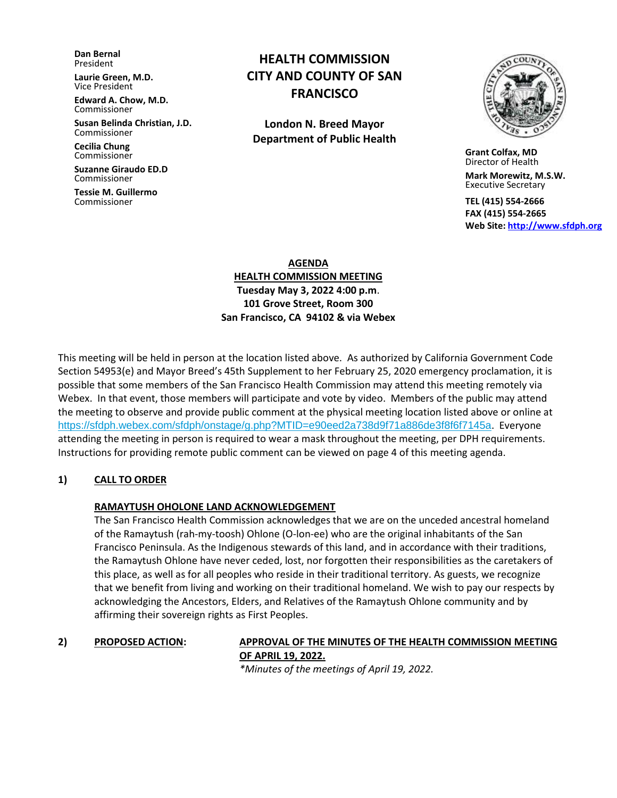**Dan Bernal** President

**Laurie Green, M.D.** Vice President

**Edward A. Chow, M.D.** Commissioner

**Susan Belinda Christian, J.D.** Commissioner

**Cecilia Chung**  Commissioner

**Suzanne Giraudo ED.D** Commissioner

**Tessie M. Guillermo** Commissioner

# **HEALTH COMMISSION CITY AND COUNTY OF SAN FRANCISCO**

**London N. Breed Mayor Department of Public Health**



 **Grant Colfax, MD**  Director of Health

 **Mark Morewitz, M.S.W.**  Executive Secretary

 **TEL (415) 554-2666 FAX (415) 554-2665 Web Site: [http://www.sfdph.org](http://www.sfdph.org/)**

**AGENDA HEALTH COMMISSION MEETING Tuesday May 3, 2022 4:00 p.m**. **101 Grove Street, Room 300 San Francisco, CA 94102 & via Webex**

This meeting will be held in person at the location listed above. As authorized by California Government Code Section 54953(e) and Mayor Breed's 45th Supplement to her February 25, 2020 emergency proclamation, it is possible that some members of the San Francisco Health Commission may attend this meeting remotely via Webex. In that event, those members will participate and vote by video. Members of the public may attend the meeting to observe and provide public comment at the physical meeting location listed above or online at <https://sfdph.webex.com/sfdph/onstage/g.php?MTID=e90eed2a738d9f71a886de3f8f6f7145a>. Everyone attending the meeting in person is required to wear a mask throughout the meeting, per DPH requirements. Instructions for providing remote public comment can be viewed on page 4 of this meeting agenda.

## **1) CALL TO ORDER**

## **RAMAYTUSH OHOLONE LAND ACKNOWLEDGEMENT**

The San Francisco Health Commission acknowledges that we are on the unceded ancestral homeland of the Ramaytush (rah-my-toosh) Ohlone (O-lon-ee) who are the original inhabitants of the San Francisco Peninsula. As the Indigenous stewards of this land, and in accordance with their traditions, the Ramaytush Ohlone have never ceded, lost, nor forgotten their responsibilities as the caretakers of this place, as well as for all peoples who reside in their traditional territory. As guests, we recognize that we benefit from living and working on their traditional homeland. We wish to pay our respects by acknowledging the Ancestors, Elders, and Relatives of the Ramaytush Ohlone community and by affirming their sovereign rights as First Peoples.

## **2) PROPOSED ACTION: APPROVAL OF THE MINUTES OF THE HEALTH COMMISSION MEETING OF APRIL 19, 2022.**

*\*Minutes of the meetings of April 19, 2022.*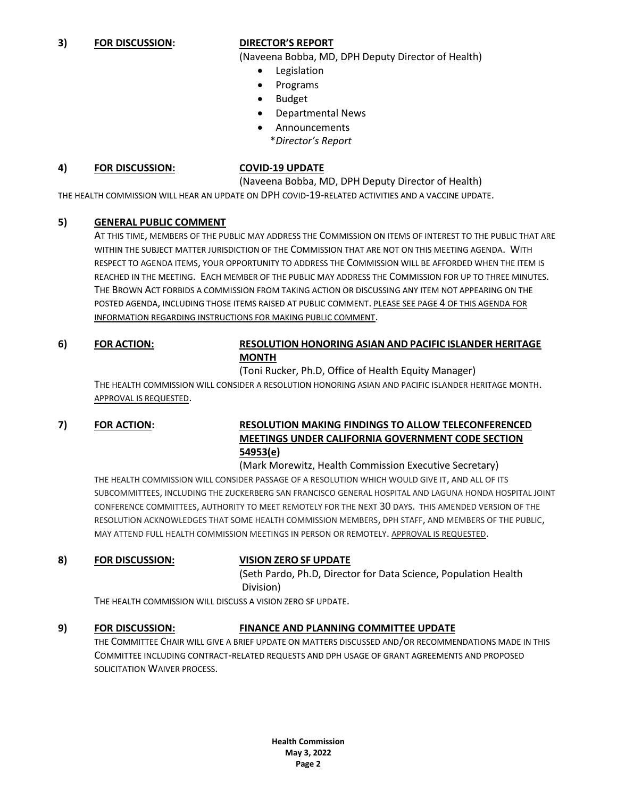## **3) FOR DISCUSSION: DIRECTOR'S REPORT**

(Naveena Bobba, MD, DPH Deputy Director of Health)

- Legislation
- Programs
- Budget
- Departmental News
- Announcements
	- \**Director's Report*

### **4) FOR DISCUSSION: COVID-19 UPDATE**

(Naveena Bobba, MD, DPH Deputy Director of Health)

THE HEALTH COMMISSION WILL HEAR AN UPDATE ON DPH COVID-19-RELATED ACTIVITIES AND A VACCINE UPDATE.

## **5) GENERAL PUBLIC COMMENT**

AT THIS TIME, MEMBERS OF THE PUBLIC MAY ADDRESS THE COMMISSION ON ITEMS OF INTEREST TO THE PUBLIC THAT ARE WITHIN THE SUBJECT MATTER JURISDICTION OF THE COMMISSION THAT ARE NOT ON THIS MEETING AGENDA. WITH RESPECT TO AGENDA ITEMS, YOUR OPPORTUNITY TO ADDRESS THE COMMISSION WILL BE AFFORDED WHEN THE ITEM IS REACHED IN THE MEETING. EACH MEMBER OF THE PUBLIC MAY ADDRESS THE COMMISSION FOR UP TO THREE MINUTES. THE BROWN ACT FORBIDS A COMMISSION FROM TAKING ACTION OR DISCUSSING ANY ITEM NOT APPEARING ON THE POSTED AGENDA, INCLUDING THOSE ITEMS RAISED AT PUBLIC COMMENT. PLEASE SEE PAGE 4 OF THIS AGENDA FOR INFORMATION REGARDING INSTRUCTIONS FOR MAKING PUBLIC COMMENT.

**6) FOR ACTION: RESOLUTION HONORING ASIAN AND PACIFIC ISLANDER HERITAGE MONTH**

(Toni Rucker, Ph.D, Office of Health Equity Manager)

THE HEALTH COMMISSION WILL CONSIDER A RESOLUTION HONORING ASIAN AND PACIFIC ISLANDER HERITAGE MONTH. APPROVAL IS REQUESTED.

## **7) FOR ACTION: RESOLUTION MAKING FINDINGS TO ALLOW TELECONFERENCED MEETINGS UNDER CALIFORNIA GOVERNMENT CODE SECTION 54953(e)**

(Mark Morewitz, Health Commission Executive Secretary) THE HEALTH COMMISSION WILL CONSIDER PASSAGE OF A RESOLUTION WHICH WOULD GIVE IT, AND ALL OF ITS SUBCOMMITTEES, INCLUDING THE ZUCKERBERG SAN FRANCISCO GENERAL HOSPITAL AND LAGUNA HONDA HOSPITAL JOINT CONFERENCE COMMITTEES, AUTHORITY TO MEET REMOTELY FOR THE NEXT 30 DAYS. THIS AMENDED VERSION OF THE RESOLUTION ACKNOWLEDGES THAT SOME HEALTH COMMISSION MEMBERS, DPH STAFF, AND MEMBERS OF THE PUBLIC, MAY ATTEND FULL HEALTH COMMISSION MEETINGS IN PERSON OR REMOTELY. APPROVAL IS REQUESTED.

### **8) FOR DISCUSSION: VISION ZERO SF UPDATE**

(Seth Pardo, Ph.D, Director for Data Science, Population Health Division)

THE HEALTH COMMISSION WILL DISCUSS A VISION ZERO SF UPDATE.

## **9) FOR DISCUSSION: FINANCE AND PLANNING COMMITTEE UPDATE**

THE COMMITTEE CHAIR WILL GIVE A BRIEF UPDATE ON MATTERS DISCUSSED AND/OR RECOMMENDATIONS MADE IN THIS COMMITTEE INCLUDING CONTRACT-RELATED REQUESTS AND DPH USAGE OF GRANT AGREEMENTS AND PROPOSED SOLICITATION WAIVER PROCESS.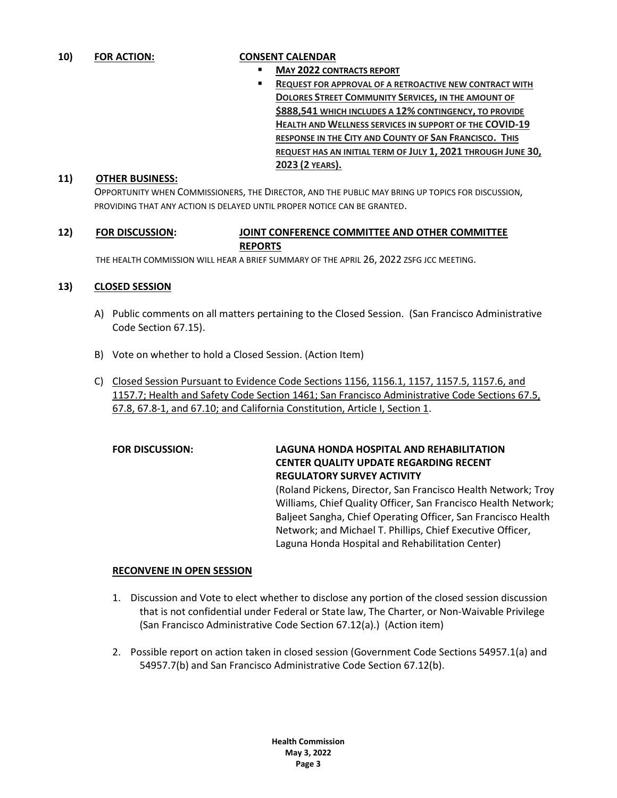- **MAY 2022 CONTRACTS REPORT**
- **REQUEST FOR APPROVAL OF A RETROACTIVE NEW CONTRACT WITH DOLORES STREET COMMUNITY SERVICES, IN THE AMOUNT OF \$888,541 WHICH INCLUDES A 12% CONTINGENCY, TO PROVIDE HEALTH AND WELLNESS SERVICES IN SUPPORT OF THE COVID-19 RESPONSE IN THE CITY AND COUNTY OF SAN FRANCISCO. THIS REQUEST HAS AN INITIAL TERM OF JULY 1, 2021 THROUGH JUNE 30, 2023 (2 YEARS).**

### **11) OTHER BUSINESS:**

OPPORTUNITY WHEN COMMISSIONERS, THE DIRECTOR, AND THE PUBLIC MAY BRING UP TOPICS FOR DISCUSSION, PROVIDING THAT ANY ACTION IS DELAYED UNTIL PROPER NOTICE CAN BE GRANTED.

## **12) FOR DISCUSSION: JOINT CONFERENCE COMMITTEE AND OTHER COMMITTEE REPORTS**

THE HEALTH COMMISSION WILL HEAR A BRIEF SUMMARY OF THE APRIL 26, 2022 ZSFG JCC MEETING.

### **13) CLOSED SESSION**

- A) Public comments on all matters pertaining to the Closed Session. (San Francisco Administrative Code Section 67.15).
- B) Vote on whether to hold a Closed Session. (Action Item)
- C) Closed Session Pursuant to Evidence Code Sections 1156, 1156.1, 1157, 1157.5, 1157.6, and 1157.7; Health and Safety Code Section 1461; San Francisco Administrative Code Sections 67.5, 67.8, 67.8-1, and 67.10; and California Constitution, Article I, Section 1.

## **FOR DISCUSSION: LAGUNA HONDA HOSPITAL AND REHABILITATION CENTER QUALITY UPDATE REGARDING RECENT REGULATORY SURVEY ACTIVITY**

(Roland Pickens, Director, San Francisco Health Network; Troy Williams, Chief Quality Officer, San Francisco Health Network; Baljeet Sangha, Chief Operating Officer, San Francisco Health Network; and Michael T. Phillips, Chief Executive Officer, Laguna Honda Hospital and Rehabilitation Center)

## **RECONVENE IN OPEN SESSION**

- 1. Discussion and Vote to elect whether to disclose any portion of the closed session discussion that is not confidential under Federal or State law, The Charter, or Non-Waivable Privilege (San Francisco Administrative Code Section 67.12(a).) (Action item)
- 2. Possible report on action taken in closed session (Government Code Sections 54957.1(a) and 54957.7(b) and San Francisco Administrative Code Section 67.12(b).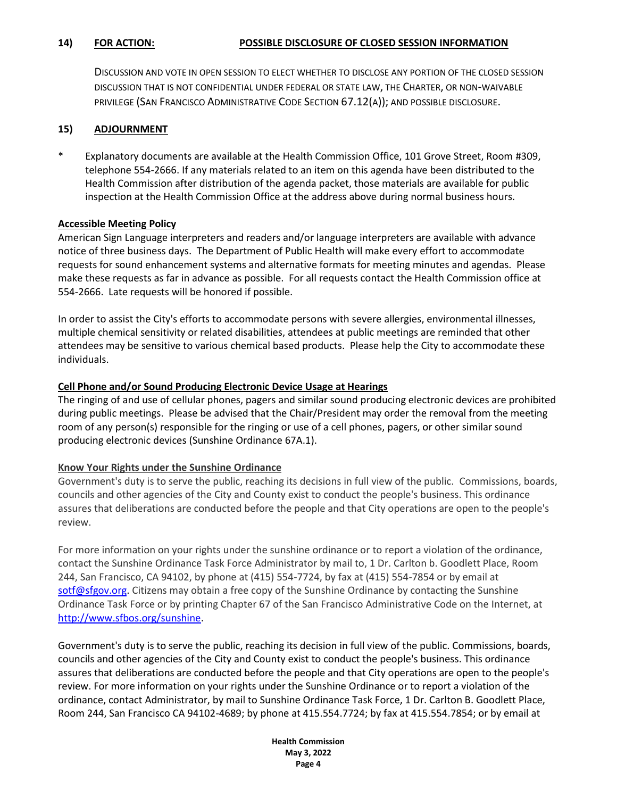DISCUSSION AND VOTE IN OPEN SESSION TO ELECT WHETHER TO DISCLOSE ANY PORTION OF THE CLOSED SESSION DISCUSSION THAT IS NOT CONFIDENTIAL UNDER FEDERAL OR STATE LAW, THE CHARTER, OR NON-WAIVABLE PRIVILEGE (SAN FRANCISCO ADMINISTRATIVE CODE SECTION 67.12(A)); AND POSSIBLE DISCLOSURE.

## **15) ADJOURNMENT**

\* Explanatory documents are available at the Health Commission Office, 101 Grove Street, Room #309, telephone 554-2666. If any materials related to an item on this agenda have been distributed to the Health Commission after distribution of the agenda packet, those materials are available for public inspection at the Health Commission Office at the address above during normal business hours.

## **Accessible Meeting Policy**

American Sign Language interpreters and readers and/or language interpreters are available with advance notice of three business days. The Department of Public Health will make every effort to accommodate requests for sound enhancement systems and alternative formats for meeting minutes and agendas. Please make these requests as far in advance as possible. For all requests contact the Health Commission office at 554-2666. Late requests will be honored if possible.

In order to assist the City's efforts to accommodate persons with severe allergies, environmental illnesses, multiple chemical sensitivity or related disabilities, attendees at public meetings are reminded that other attendees may be sensitive to various chemical based products. Please help the City to accommodate these individuals.

## **Cell Phone and/or Sound Producing Electronic Device Usage at Hearings**

The ringing of and use of cellular phones, pagers and similar sound producing electronic devices are prohibited during public meetings. Please be advised that the Chair/President may order the removal from the meeting room of any person(s) responsible for the ringing or use of a cell phones, pagers, or other similar sound producing electronic devices (Sunshine Ordinance 67A.1).

## **Know Your Rights under the Sunshine Ordinance**

Government's duty is to serve the public, reaching its decisions in full view of the public. Commissions, boards, councils and other agencies of the City and County exist to conduct the people's business. This ordinance assures that deliberations are conducted before the people and that City operations are open to the people's review.

For more information on your rights under the sunshine ordinance or to report a violation of the ordinance, contact the Sunshine Ordinance Task Force Administrator by mail to, 1 Dr. Carlton b. Goodlett Place, Room 244, San Francisco, CA 94102, by phone at (415) 554-7724, by fax at (415) 554-7854 or by email at [sotf@sfgov.org.](mailto:sotf@sfgov.org) Citizens may obtain a free copy of the Sunshine Ordinance by contacting the Sunshine Ordinance Task Force or by printing Chapter 67 of the San Francisco Administrative Code on the Internet, at [http://www.sfbos.org/sunshine.](http://www.sfbos.org/index.aspx?page=4459)

Government's duty is to serve the public, reaching its decision in full view of the public. Commissions, boards, councils and other agencies of the City and County exist to conduct the people's business. This ordinance assures that deliberations are conducted before the people and that City operations are open to the people's review. For more information on your rights under the Sunshine Ordinance or to report a violation of the ordinance, contact Administrator, by mail to Sunshine Ordinance Task Force, 1 Dr. Carlton B. Goodlett Place, Room 244, San Francisco CA 94102-4689; by phone at 415.554.7724; by fax at 415.554.7854; or by email at

> **Health Commission May 3, 2022 Page 4**